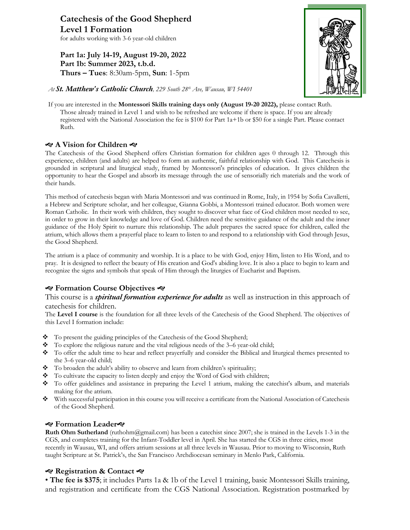**Catechesis of the Good Shepherd Level 1 Formation**  for adults working with 3-6 year-old children

**Part 1a: July 14-19, August 19-20, 2022 Part 1b: Summer 2023, t.b.d. Thurs – Tues**: 8:30am-5pm, **Sun**: 1-5pm



*At St. Matthew's Catholic Church, 229 South 28th Ave, Wausau, WI 54401*

If you are interested in the **Montessori Skills training days only (August 19-20 2022),** please contact Ruth. Those already trained in Level 1 and wish to be refreshed are welcome if there is space. If you are already registered with the National Association the fee is \$100 for Part 1a+1b or \$50 for a single Part. Please contact Ruth.

#### **A Vision for Children**

The Catechesis of the Good Shepherd offers Christian formation for children ages 0 through 12. Through this experience, children (and adults) are helped to form an authentic, faithful relationship with God. This Catechesis is grounded in scriptural and liturgical study, framed by Montessori's principles of education. It gives children the opportunity to hear the Gospel and absorb its message through the use of sensorially rich materials and the work of their hands.

This method of catechesis began with Maria Montessori and was continued in Rome, Italy, in 1954 by Sofia Cavalletti, a Hebrew and Scripture scholar, and her colleague, Gianna Gobbi, a Montessori trained educator. Both women were Roman Catholic. In their work with children, they sought to discover what face of God children most needed to see, in order to grow in their knowledge and love of God. Children need the sensitive guidance of the adult and the inner guidance of the Holy Spirit to nurture this relationship. The adult prepares the sacred space for children, called the atrium, which allows them a prayerful place to learn to listen to and respond to a relationship with God through Jesus, the Good Shepherd.

The atrium is a place of community and worship. It is a place to be with God, enjoy Him, listen to His Word, and to pray. It is designed to reflect the beauty of His creation and God's abiding love. It is also a place to begin to learn and recognize the signs and symbols that speak of Him through the liturgies of Eucharist and Baptism.

## **Formation Course Objectives**

#### This course is a *spiritual formation experience for adults* as well as instruction in this approach of catechesis for children.

The **Level I course** is the foundation for all three levels of the Catechesis of the Good Shepherd. The objectives of this Level I formation include:

- To present the guiding principles of the Catechesis of the Good Shepherd;
- $\bullet$  To explore the religious nature and the vital religious needs of the 3–6 year-old child;
- v To offer the adult time to hear and reflect prayerfully and consider the Biblical and liturgical themes presented to the 3–6 year-old child;
- \* To broaden the adult's ability to observe and learn from children's spirituality;
- \* To cultivate the capacity to listen deeply and enjoy the Word of God with children;
- v To offer guidelines and assistance in preparing the Level 1 atrium, making the catechist's album, and materials making for the atrium.
- $\bullet$  With successful participation in this course you will receive a certificate from the National Association of Catechesis of the Good Shepherd.

## **Formation Leader**

**Ruth Ohm Sutherland** (ruthohm@gmail.com) has been a catechist since 2007; she is trained in the Levels 1-3 in the CGS, and completes training for the Infant-Toddler level in April. She has started the CGS in three cities, most recently in Wausau, WI, and offers atrium sessions at all three levels in Wausau. Prior to moving to Wisconsin, Ruth taught Scripture at St. Patrick's, the San Francisco Archdiocesan seminary in Menlo Park, California.

## **Registration & Contact**

• **The fee is \$375**; it includes Parts 1a & 1b of the Level 1 training, basic Montessori Skills training, and registration and certificate from the CGS National Association. Registration postmarked by